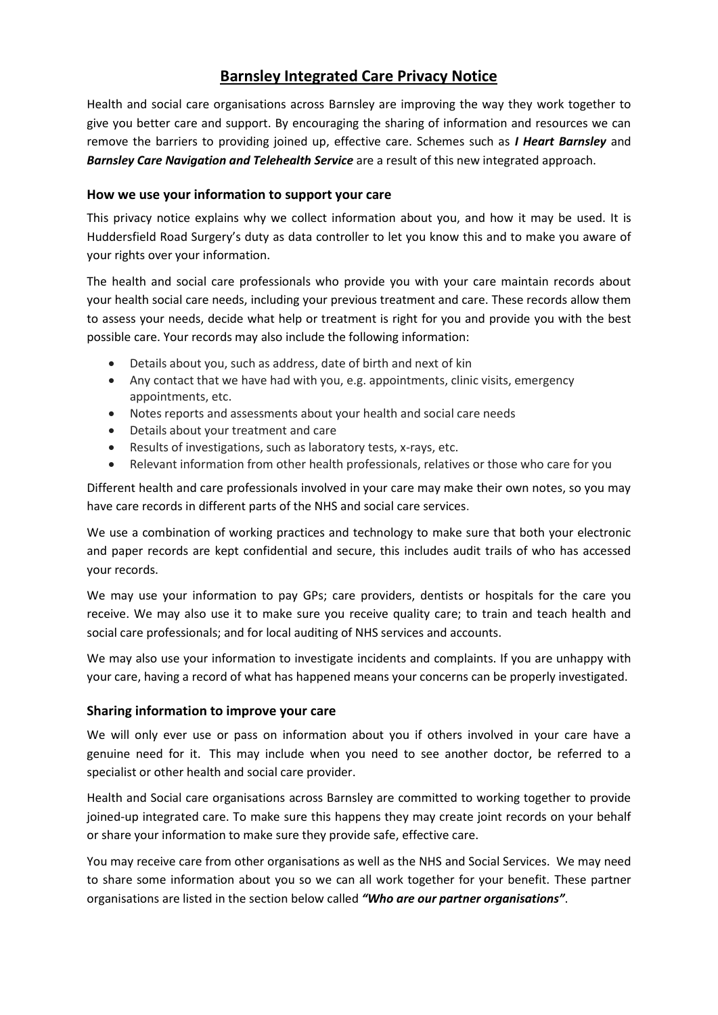# **Barnsley Integrated Care Privacy Notice**

Health and social care organisations across Barnsley are improving the way they work together to give you better care and support. By encouraging the sharing of information and resources we can remove the barriers to providing joined up, effective care. Schemes such as *I Heart Barnsley* and *Barnsley Care Navigation and Telehealth Service* are a result of this new integrated approach.

# **How we use your information to support your care**

This privacy notice explains why we collect information about you, and how it may be used. It is Huddersfield Road Surgery's duty as data controller to let you know this and to make you aware of your rights over your information.

The health and social care professionals who provide you with your care maintain records about your health social care needs, including your previous treatment and care. These records allow them to assess your needs, decide what help or treatment is right for you and provide you with the best possible care. Your records may also include the following information:

- Details about you, such as address, date of birth and next of kin
- Any contact that we have had with you, e.g. appointments, clinic visits, emergency appointments, etc.
- Notes reports and assessments about your health and social care needs
- Details about your treatment and care
- Results of investigations, such as laboratory tests, x-rays, etc.
- Relevant information from other health professionals, relatives or those who care for you

Different health and care professionals involved in your care may make their own notes, so you may have care records in different parts of the NHS and social care services.

We use a combination of working practices and technology to make sure that both your electronic and paper records are kept confidential and secure, this includes audit trails of who has accessed your records.

We may use your information to pay GPs; care providers, dentists or hospitals for the care you receive. We may also use it to make sure you receive quality care; to train and teach health and social care professionals; and for local auditing of NHS services and accounts.

We may also use your information to investigate incidents and complaints. If you are unhappy with your care, having a record of what has happened means your concerns can be properly investigated.

# **Sharing information to improve your care**

We will only ever use or pass on information about you if others involved in your care have a genuine need for it. This may include when you need to see another doctor, be referred to a specialist or other health and social care provider.

Health and Social care organisations across Barnsley are committed to working together to provide joined-up integrated care. To make sure this happens they may create joint records on your behalf or share your information to make sure they provide safe, effective care.

You may receive care from other organisations as well as the NHS and Social Services. We may need to share some information about you so we can all work together for your benefit. These partner organisations are listed in the section below called *"Who are our partner organisations"*.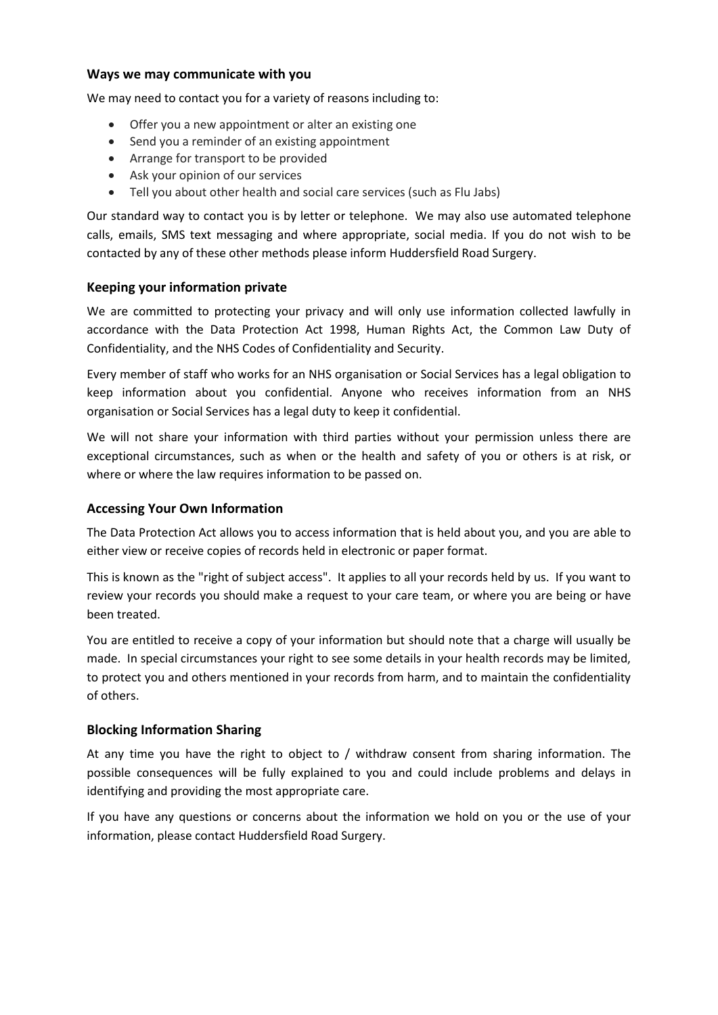#### **Ways we may communicate with you**

We may need to contact you for a variety of reasons including to:

- Offer you a new appointment or alter an existing one
- Send you a reminder of an existing appointment
- Arrange for transport to be provided
- Ask your opinion of our services
- Tell you about other health and social care services (such as Flu Jabs)

Our standard way to contact you is by letter or telephone. We may also use automated telephone calls, emails, SMS text messaging and where appropriate, social media. If you do not wish to be contacted by any of these other methods please inform Huddersfield Road Surgery.

# **Keeping your information private**

We are committed to protecting your privacy and will only use information collected lawfully in accordance with the Data Protection Act 1998, Human Rights Act, the Common Law Duty of Confidentiality, and the NHS Codes of Confidentiality and Security.

Every member of staff who works for an NHS organisation or Social Services has a legal obligation to keep information about you confidential. Anyone who receives information from an NHS organisation or Social Services has a legal duty to keep it confidential.

We will not share your information with third parties without your permission unless there are exceptional circumstances, such as when or the health and safety of you or others is at risk, or where or where the law requires information to be passed on.

# **Accessing Your Own Information**

The Data Protection Act allows you to access information that is held about you, and you are able to either view or receive copies of records held in electronic or paper format.

This is known as the "right of subject access". It applies to all your records held by us. If you want to review your records you should make a request to your care team, or where you are being or have been treated.

You are entitled to receive a copy of your information but should note that a charge will usually be made. In special circumstances your right to see some details in your health records may be limited, to protect you and others mentioned in your records from harm, and to maintain the confidentiality of others.

# **Blocking Information Sharing**

At any time you have the right to object to / withdraw consent from sharing information. The possible consequences will be fully explained to you and could include problems and delays in identifying and providing the most appropriate care.

If you have any questions or concerns about the information we hold on you or the use of your information, please contact Huddersfield Road Surgery.